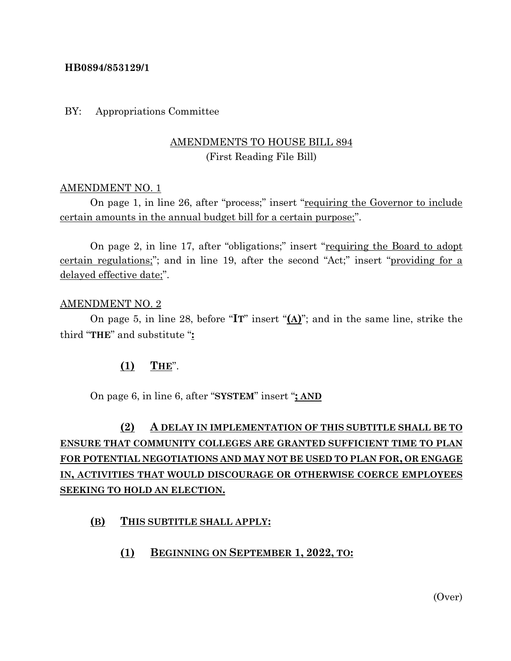#### **HB0894/853129/1**

#### BY: Appropriations Committee

## AMENDMENTS TO HOUSE BILL 894 (First Reading File Bill)

#### AMENDMENT NO. 1

On page 1, in line 26, after "process;" insert "requiring the Governor to include certain amounts in the annual budget bill for a certain purpose;".

On page 2, in line 17, after "obligations;" insert "requiring the Board to adopt certain regulations;"; and in line 19, after the second "Act;" insert "providing for a delayed effective date;".

#### AMENDMENT NO. 2

On page 5, in line 28, before "**IT**" insert "**(A)**"; and in the same line, strike the third "**THE**" and substitute "**:**

#### **(1) THE**".

On page 6, in line 6, after "**SYSTEM**" insert "**; AND**

# **(2) A DELAY IN IMPLEMENTATION OF THIS SUBTITLE SHALL BE TO ENSURE THAT COMMUNITY COLLEGES ARE GRANTED SUFFICIENT TIME TO PLAN FOR POTENTIAL NEGOTIATIONS AND MAY NOT BE USED TO PLAN FOR, OR ENGAGE IN, ACTIVITIES THAT WOULD DISCOURAGE OR OTHERWISE COERCE EMPLOYEES SEEKING TO HOLD AN ELECTION.**

#### **(B) THIS SUBTITLE SHALL APPLY:**

**(1) BEGINNING ON SEPTEMBER 1, 2022, TO:**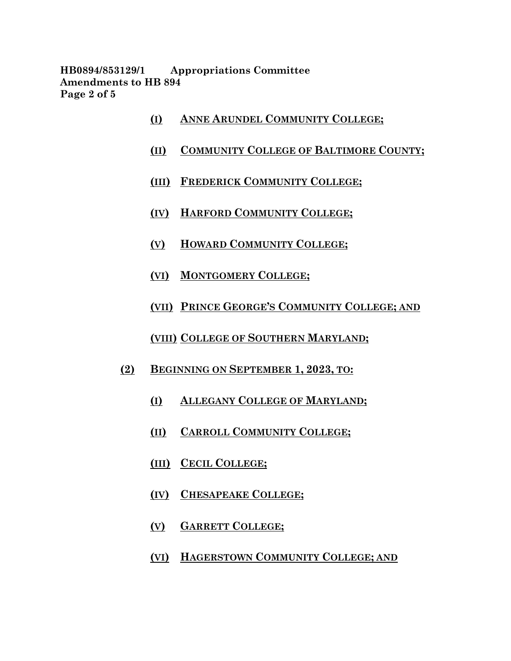**HB0894/853129/1 Appropriations Committee Amendments to HB 894 Page 2 of 5**

- **(I) ANNE ARUNDEL COMMUNITY COLLEGE;**
- **(II) COMMUNITY COLLEGE OF BALTIMORE COUNTY;**
- **(III) FREDERICK COMMUNITY COLLEGE;**
- **(IV) HARFORD COMMUNITY COLLEGE;**
- **(V) HOWARD COMMUNITY COLLEGE;**
- **(VI) MONTGOMERY COLLEGE;**
- **(VII) PRINCE GEORGE'S COMMUNITY COLLEGE; AND**
- **(VIII) COLLEGE OF SOUTHERN MARYLAND;**
- **(2) BEGINNING ON SEPTEMBER 1, 2023, TO:**
	- **(I) ALLEGANY COLLEGE OF MARYLAND;**
	- **(II) CARROLL COMMUNITY COLLEGE;**
	- **(III) CECIL COLLEGE;**
	- **(IV) CHESAPEAKE COLLEGE;**
	- **(V) GARRETT COLLEGE;**
	- **(VI) HAGERSTOWN COMMUNITY COLLEGE; AND**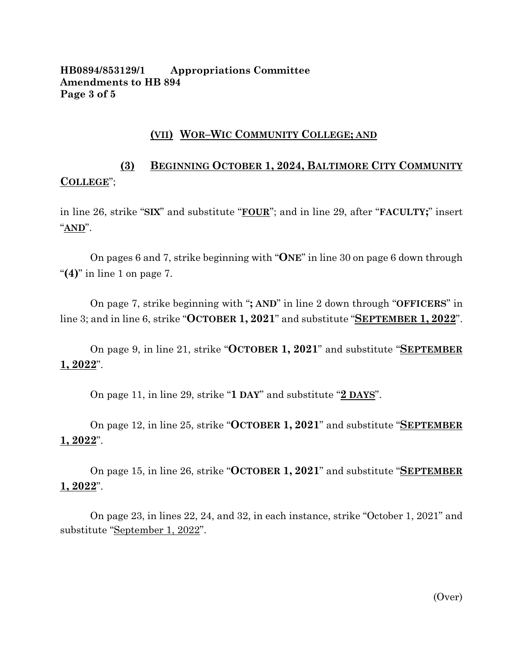#### **HB0894/853129/1 Appropriations Committee Amendments to HB 894 Page 3 of 5**

#### **(VII) WOR–WIC COMMUNITY COLLEGE; AND**

# **(3) BEGINNING OCTOBER 1, 2024, BALTIMORE CITY COMMUNITY COLLEGE**";

in line 26, strike "**SIX**" and substitute "**FOUR**"; and in line 29, after "**FACULTY;**" insert "**AND**".

On pages 6 and 7, strike beginning with "**ONE**" in line 30 on page 6 down through "**(4)**" in line 1 on page 7.

On page 7, strike beginning with "**; AND**" in line 2 down through "**OFFICERS**" in line 3; and in line 6, strike "**OCTOBER 1, 2021**" and substitute "**SEPTEMBER 1, 2022**".

On page 9, in line 21, strike "**OCTOBER 1, 2021**" and substitute "**SEPTEMBER 1, 2022**".

On page 11, in line 29, strike "**1 DAY**" and substitute "**2 DAYS**".

On page 12, in line 25, strike "**OCTOBER 1, 2021**" and substitute "**SEPTEMBER 1, 2022**".

On page 15, in line 26, strike "**OCTOBER 1, 2021**" and substitute "**SEPTEMBER 1, 2022**".

On page 23, in lines 22, 24, and 32, in each instance, strike "October 1, 2021" and substitute "September 1, 2022".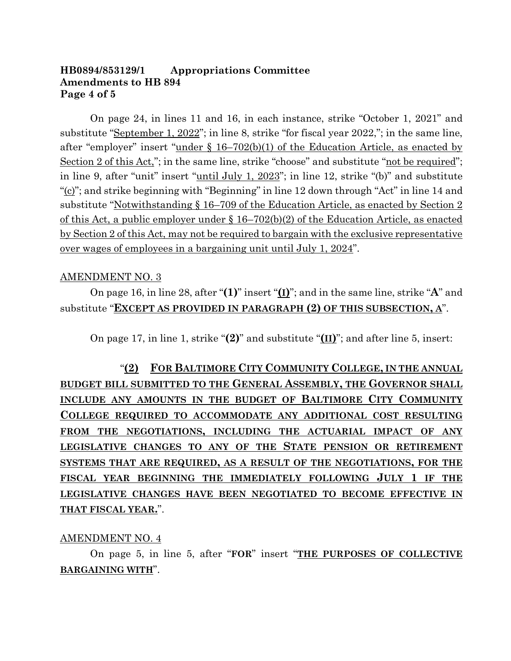#### **HB0894/853129/1 Appropriations Committee Amendments to HB 894 Page 4 of 5**

On page 24, in lines 11 and 16, in each instance, strike "October 1, 2021" and substitute "September 1, 2022"; in line 8, strike "for fiscal year 2022,"; in the same line, after "employer" insert "under § 16–702(b)(1) of the Education Article, as enacted by Section 2 of this Act,"; in the same line, strike "choose" and substitute "not be required"; in line 9, after "unit" insert "<u>until July 1, 2023</u>"; in line 12, strike "(b)" and substitute "(c)"; and strike beginning with "Beginning" in line 12 down through "Act" in line 14 and substitute "Notwithstanding § 16–709 of the Education Article, as enacted by Section 2 of this Act, a public employer under  $\S 16-702(b)(2)$  of the Education Article, as enacted by Section 2 of this Act, may not be required to bargain with the exclusive representative over wages of employees in a bargaining unit until July 1, 2024".

#### AMENDMENT NO. 3

On page 16, in line 28, after "**(1)**" insert "**(I)**"; and in the same line, strike "**A**" and substitute "**EXCEPT AS PROVIDED IN PARAGRAPH (2) OF THIS SUBSECTION, A**".

On page 17, in line 1, strike "**(2)**" and substitute "**(II)**"; and after line 5, insert:

"**(2) FOR BALTIMORE CITY COMMUNITY COLLEGE, IN THE ANNUAL BUDGET BILL SUBMITTED TO THE GENERAL ASSEMBLY, THE GOVERNOR SHALL INCLUDE ANY AMOUNTS IN THE BUDGET OF BALTIMORE CITY COMMUNITY COLLEGE REQUIRED TO ACCOMMODATE ANY ADDITIONAL COST RESULTING FROM THE NEGOTIATIONS, INCLUDING THE ACTUARIAL IMPACT OF ANY LEGISLATIVE CHANGES TO ANY OF THE STATE PENSION OR RETIREMENT SYSTEMS THAT ARE REQUIRED, AS A RESULT OF THE NEGOTIATIONS, FOR THE FISCAL YEAR BEGINNING THE IMMEDIATELY FOLLOWING JULY 1 IF THE LEGISLATIVE CHANGES HAVE BEEN NEGOTIATED TO BECOME EFFECTIVE IN THAT FISCAL YEAR.**".

#### AMENDMENT NO. 4

On page 5, in line 5, after "**FOR**" insert "**THE PURPOSES OF COLLECTIVE BARGAINING WITH**".